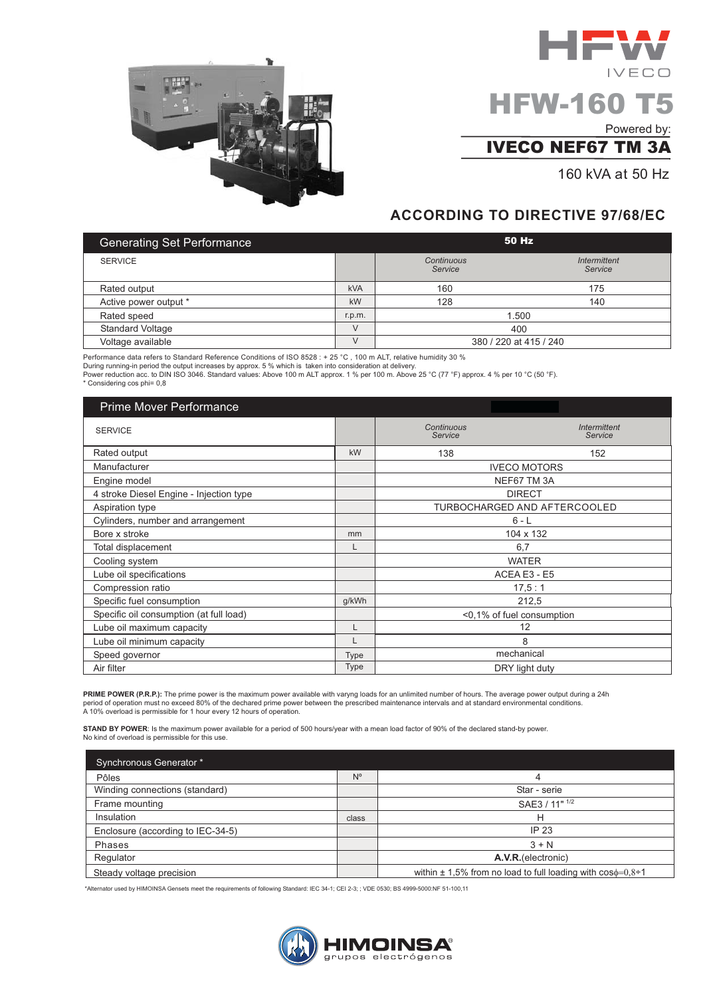

# $IVECO$ **HFW-160 T5**

Powered by:

## **IVECO NEF67 TM 3A**

160 kVA at 50 Hz

I FW

### **ACCORDING TO DIRECTIVE 97/68/EC**

| <b>Generating Set Performance</b> |            | 50 Hz                  |                         |
|-----------------------------------|------------|------------------------|-------------------------|
| <b>SERVICE</b>                    |            | Continuous<br>Service  | Intermittent<br>Service |
| Rated output                      | <b>kVA</b> | 160                    | 175                     |
| Active power output *             | kW         | 128                    | 140                     |
| Rated speed                       | r.p.m.     | 1.500                  |                         |
| <b>Standard Voltage</b>           | $\vee$     | 400                    |                         |
| Voltage available                 | $\vee$     | 380 / 220 at 415 / 240 |                         |

Performance data refers to Standard Reference Conditions of ISO 8528 : + 25 °C, 100 m ALT, relative humidity 30 %<br>During running-in period the output increases by approx. 5 % which is taken into consideration at delivery. Power reduction acc. to DIN ISO 3046. Standard values: Above 100 m ALT approx. 1 % per 100 m. Above 25 °C (77 °F) approx. 4 % per 10 °C (50 °F). \* Considering cos phi= 0,8

| <b>Prime Mover Performance</b>          |             |                       |                                     |
|-----------------------------------------|-------------|-----------------------|-------------------------------------|
| <b>SERVICE</b>                          |             | Continuous<br>Service | <b>Intermittent</b><br>Service      |
| Rated output                            | kW          | 138                   | 152                                 |
| Manufacturer                            |             |                       | <b>IVECO MOTORS</b>                 |
| Engine model                            |             |                       | NEF67 TM 3A                         |
| 4 stroke Diesel Engine - Injection type |             |                       | <b>DIRECT</b>                       |
| Aspiration type                         |             |                       | <b>TURBOCHARGED AND AFTERCOOLED</b> |
| Cylinders, number and arrangement       |             |                       | $6 - L$                             |
| Bore x stroke                           | mm          |                       | 104 x 132                           |
| Total displacement                      | L           |                       | 6,7                                 |
| Cooling system                          |             |                       | <b>WATER</b>                        |
| Lube oil specifications                 |             |                       | ACEA E3 - E5                        |
| Compression ratio                       |             |                       | 17.5:1                              |
| Specific fuel consumption               | g/kWh       |                       | 212,5                               |
| Specific oil consumption (at full load) |             |                       | <0,1% of fuel consumption           |
| Lube oil maximum capacity               | L           |                       | 12                                  |
| Lube oil minimum capacity               | L           |                       | 8                                   |
| Speed governor                          | <b>Type</b> |                       | mechanical                          |
| Air filter                              | <b>Type</b> |                       | DRY light duty                      |

PRIME POWER (P.R.P.): The prime power is the maximum power available with varyng loads for an unlimited number of hours. The average power output during a 24h period of operation must no exceed 80% of the dechared prime power between the prescribed maintenance intervals and at standard environmental conditions.<br>A 10% overload is permissible for 1 hour every 12 hours of operation

STAND BY POWER: Is the maximum power available for a period of 500 hours/year with a mean load factor of 90% of the declared stand-by power. No kind of overload is permissible for this use.

| Synchronous Generator *           |             |                                                                         |
|-----------------------------------|-------------|-------------------------------------------------------------------------|
| Pôles                             | $N^{\circ}$ |                                                                         |
| Winding connections (standard)    |             | Star - serie                                                            |
| Frame mounting                    |             | SAE3 / 11" 1/2                                                          |
| Insulation                        | class       | н                                                                       |
| Enclosure (according to IEC-34-5) |             | IP 23                                                                   |
| Phases                            |             | $3 + N$                                                                 |
| Regulator                         |             | A.V.R. (electronic)                                                     |
| Steady voltage precision          |             | within $\pm$ 1,5% from no load to full loading with $\cos\phi=0.8\div1$ |

\*Alternator used by HIMOINSA Gensets meet the requirements of following Standard: IEC 34-1; CEI 2-3; ; VDE 0530; BS 4999-5000:NF 51-100,11